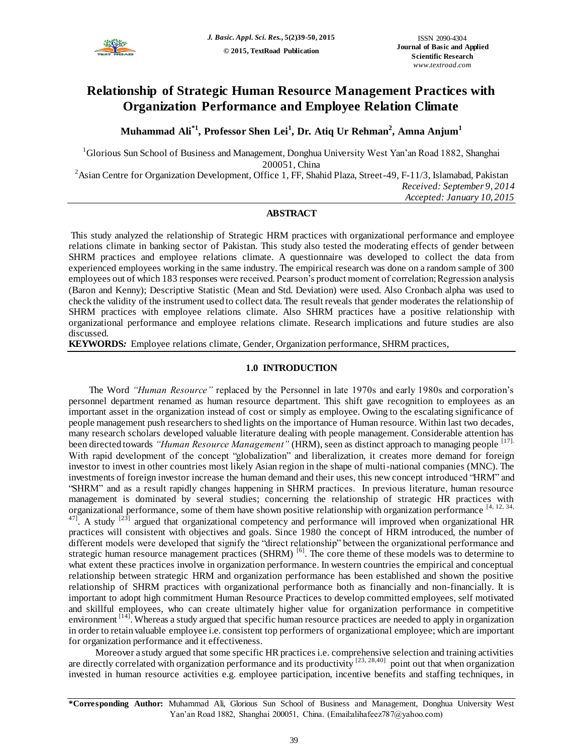

# **Relationship of Strategic Human Resource Management Practices with Organization Performance and Employee Relation Climate**

**Muhammad Ali\*1, Professor Shen Lei<sup>1</sup> , Dr. Atiq Ur Rehman<sup>2</sup> , Amna Anjum<sup>1</sup>**

 ${}^{1}$ Glorious Sun School of Business and Management, Donghua University West Yan'an Road 1882, Shanghai 200051, China

<sup>2</sup> Asian Centre for Organization Development, Office 1, FF, Shahid Plaza, Street-49, F-11/3, Islamabad, Pakistan *Received: September 9, 2014 Accepted: January 10, 2015*

### **ABSTRACT**

This study analyzed the relationship of Strategic HRM practices with organizational performance and employee relations climate in banking sector of Pakistan. This study also tested the moderating effects of gender between SHRM practices and employee relations climate. A questionnaire was developed to collect the data from experienced employees working in the same industry. The empirical research was done on a random sample of 300 employees out of which 183 responses were received. Pearson's product moment of correlation; Regression analysis (Baron and Kenny); Descriptive Statistic (Mean and Std. Deviation) were used. Also Cronbach alpha was used to check the validity of the instrument used to collect data. The result reveals that gender moderates the relationship of SHRM practices with employee relations climate. Also SHRM practices have a positive relationship with organizational performance and employee relations climate. Research implications and future studies are also discussed.

**KEYWORDS***:* Employee relations climate, Gender, Organization performance, SHRM practices,

### **1.0 INTRODUCTION**

The Word *"Human Resource"* replaced by the Personnel in late 1970s and early 1980s and corporation's personnel department renamed as human resource department. This shift gave recognition to employees as an important asset in the organization instead of cost or simply as employee. Owing to the escalating significance of people management push researchers to shed lights on the importance of Human resource. Within last two decades, many research scholars developed valuable literature dealing with people management. Considerable attention has been directed towards *"Human Resource Management"* (HRM), seen as distinct approach to managing people <sup>[17].</sup> With rapid development of the concept "globalization" and liberalization, it creates more demand for foreign investor to invest in other countries most likely Asian region in the shape of multi-national companies (MNC). The investments of foreign investor increase the human demand and their uses, this new concept introduced "HRM" and "SHRM" and as a result rapidly changes happening in SHRM practices. In previous literature, human resource management is dominated by several studies; concerning the relationship of strategic HR practices with organizational performance, some of them have shown positive relationship with organization performance [4, 12, 34,  $^{47}$ . A study  $^{[23]}$  argued that organizational competency and performance will improved when organizational HR practices will consistent with objectives and goals. Since 1980 the concept of HRM introduced, the number of different models were developed that signify the "direct relationship" between the organizational performance and strategic human resource management practices (SHRM)<sup>[6]</sup>. The core theme of these models was to determine to what extent these practices involve in organization performance. In western countries the empirical and conceptual relationship between strategic HRM and organization performance has been established and shown the positive relationship of SHRM practices with organizational performance both as financially and non-financially. It is important to adopt high commitment Human Resource Practices to develop committed employees, self motivated and skillful employees, who can create ultimately higher value for organization performance in competitive environment <sup>[14]</sup>. Whereas a study argued that specific human resource practices are needed to apply in organization in order to retain valuable employee i.e. consistent top performers of organizational employee; which are important for organization performance and it effectiveness.

Moreover a study argued that some specific HR practices i.e. comprehensive selection and training activities are directly correlated with organization performance and its productivity  $[23, 28, 40]$  point out that when organization invested in human resource activities e.g. employee participation, incentive benefits and staffing techniques, in

**<sup>\*</sup>Corresponding Author:** Muhammad Ali, Glorious Sun School of Business and Management, Donghua University West Yan'an Road 1882, Shanghai 200051, China. (Email:alihafeez787@yahoo.com)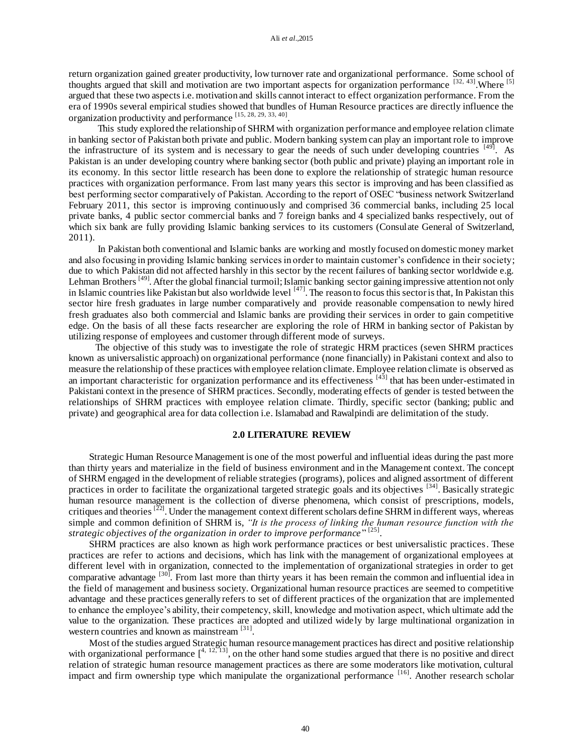return organization gained greater productivity, low turnover rate and organizational performance. Some school of thoughts argued that skill and motivation are two important aspects for organization performance  $[32, 43]$ . Where  $[5]$ argued that these two aspects i.e. motivation and skills cannot interact to effect organization performance. From the era of 1990s several empirical studies showed that bundles of Human Resource practices are directly influence the organization productivity and performance [15, 28, 29, 33, 40].

This study explored the relationship of SHRM with organization performance and employee relation climate in banking sector of Pakistan both private and public. Modern banking system can play an important role to improve the infrastructure of its system and is necessary to gear the needs of such under developing countries [49]. As Pakistan is an under developing country where banking sector (both public and private) playing an important role in its economy. In this sector little research has been done to explore the relationship of strategic human resource practices with organization performance. From last many years this sector is improving and has been classified as best performing sector comparatively of Pakistan. According to the report of OSEC "business network Switzerland February 2011, this sector is improving continuously and comprised 36 commercial banks, including 25 local private banks, 4 public sector commercial banks and 7 foreign banks and 4 specialized banks respectively, out of which six bank are fully providing Islamic banking services to its customers (Consulate General of Switzerland, 2011).

In Pakistan both conventional and Islamic banks are working and mostly focused on domestic money market and also focusing in providing Islamic banking services in order to maintain customer's confidence in their society; due to which Pakistan did not affected harshly in this sector by the recent failures of banking sector worldwide e.g. Lehman Brothers<sup>[49]</sup>. After the global financial turmoil; Islamic banking sector gaining impressive attention not only in Islamic countries like Pakistan but also worldwide level  $[47]$ . The reason to focus this sector is that, In Pakistan this sector hire fresh graduates in large number comparatively and provide reasonable compensation to newly hired fresh graduates also both commercial and Islamic banks are providing their services in order to gain competitive edge. On the basis of all these facts researcher are exploring the role of HRM in banking sector of Pakistan by utilizing response of employees and customer through different mode of surveys.

The objective of this study was to investigate the role of strategic HRM practices (seven SHRM practices known as universalistic approach) on organizational performance (none financially) in Pakistani context and also to measure the relationship of these practices with employee relation climate. Employee relation climate is observed as an important characteristic for organization performance and its effectiveness <sup>[43]</sup> that has been under-estimated in Pakistani context in the presence of SHRM practices. Secondly, moderating effects of gender is tested between the relationships of SHRM practices with employee relation climate. Thirdly, specific sector (banking; public and private) and geographical area for data collection i.e. Islamabad and Rawalpindi are delimitation of the study.

### **2.0 LITERATURE REVIEW**

Strategic Human Resource Management is one of the most powerful and influential ideas during the past more than thirty years and materialize in the field of business environment and in the Management context. The concept of SHRM engaged in the development of reliable strategies (programs), polices and aligned assortment of different practices in order to facilitate the organizational targeted strategic goals and its objectives [34]. Basically strategic human resource management is the collection of diverse phenomena, which consist of prescriptions, models, critiques and theories <sup>[22]</sup>. Under the management context different scholars define SHRM in different ways, whereas simple and common definition of SHRM is, *"It is the process of linking the human resource function with the strategic objectives of the organization in order to improve performance* " [25] .

SHRM practices are also known as high work performance practices or best universalistic practices. These practices are refer to actions and decisions, which has link with the management of organizational employees at different level with in organization, connected to the implementation of organizational strategies in order to get comparative advantage <sup>[30]</sup>. From last more than thirty years it has been remain the common and influential idea in the field of management and business society. Organizational human resource practices are seemed to competitive advantage and these practices generally refers to set of different practices of the organization that are implemented to enhance the employee's ability, their competency, skill, knowledge and motivation aspect, which ultimate add the value to the organization. These practices are adopted and utilized widely by large multinational organization in western countries and known as mainstream <sup>[31]</sup>.

Most of the studies argued Strategic human resource management practices has direct and positive relationship with organizational performance  $\int_0^{4, 12, 13}$ , on the other hand some studies argued that there is no positive and direct relation of strategic human resource management practices as there are some moderators like motivation, cultural impact and firm ownership type which manipulate the organizational performance [16]. Another research scholar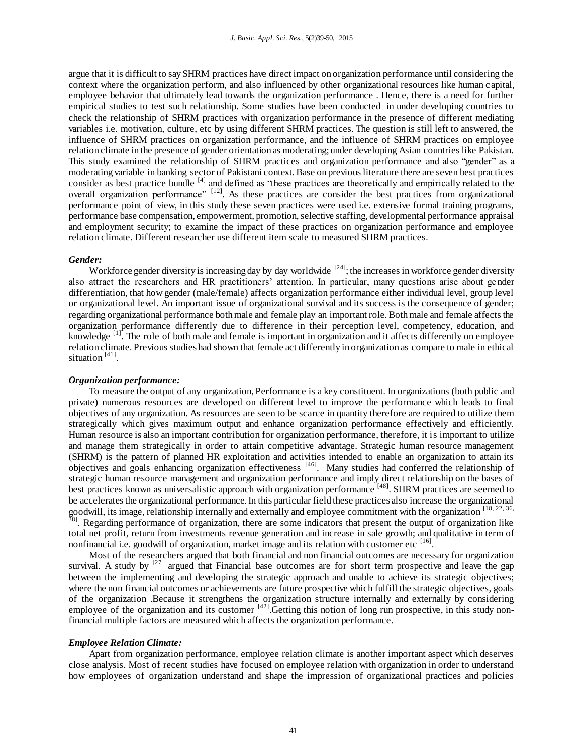argue that it is difficult to say SHRM practices have direct impact on organization performance until considering the context where the organization perform, and also influenced by other organizational resources like human c apital, employee behavior that ultimately lead towards the organization performance . Hence, there is a need for further empirical studies to test such relationship. Some studies have been conducted in under developing countries to check the relationship of SHRM practices with organization performance in the presence of different mediating variables i.e. motivation, culture, etc by using different SHRM practices. The question is still left to answered, the influence of SHRM practices on organization performance, and the influence of SHRM practices on employee relation climate in the presence of gender orientation as moderating; under developing Asian countries like Pakistan. This study examined the relationship of SHRM practices and organization performance and also "gender" as a moderating variable in banking sector of Pakistani context. Base on previous literature there are seven best practices consider as best practice bundle <sup>[4]</sup> and defined as "these practices are theoretically and empirically related to the overall organization performance" <sup>[12]</sup>. As these practices are consider the best practices from organizational performance point of view, in this study these seven practices were used i.e. extensive formal training programs, performance base compensation, empowerment, promotion, selective staffing, developmental performance appraisal and employment security; to examine the impact of these practices on organization performance and employee relation climate. Different researcher use different item scale to measured SHRM practices.

#### *Gender:*

Workforce gender diversity is increasing day by day worldwide  $[24]$ ; the increases in workforce gender diversity also attract the researchers and HR practitioners' attention. In particular, many questions arise about gender differentiation, that how gender (male/female) affects organization performance either individual level, group level or organizational level. An important issue of organizational survival and its success is the consequence of gender; regarding organizational performance both male and female play an important role. Both male and female affects the organization performance differently due to difference in their perception level, competency, education, and knowledge  $\left[1\right]$ . The role of both male and female is important in organization and it affects differently on employee relation climate. Previous studies had shown that female act differently in organization as compare to male in ethical situation<sup>[41]</sup>.

#### *Organization performance:*

To measure the output of any organization, Performance is a key constituent. In organizations (both public and private) numerous resources are developed on different level to improve the performance which leads to final objectives of any organization. As resources are seen to be scarce in quantity therefore are required to utilize them strategically which gives maximum output and enhance organization performance effectively and efficiently. Human resource is also an important contribution for organization performance, therefore, it is important to utilize and manage them strategically in order to attain competitive advantage. Strategic human resource management (SHRM) is the pattern of planned HR exploitation and activities intended to enable an organization to attain its objectives and goals enhancing organization effectiveness [46]. Many studies had conferred the relationship of strategic human resource management and organization performance and imply direct relationship on the bases of best practices known as universalistic approach with organization performance <sup>[48]</sup>. SHRM practices are seemed to be accelerates the organizational performance. In this particular field these practices also increase the organizational goodwill, its image, relationship internally and externally and employee commitment with the organization [18, 22, 36,  $38$ ]. Regarding performance of organization, there are some indicators that present the output of organization like total net profit, return from investments revenue generation and increase in sale growth; and qualitative in term of nonfinancial i.e. goodwill of organization, market image and its relation with customer etc <sup>[16</sup>] .

Most of the researchers argued that both financial and non financial outcomes are necessary for organization survival. A study by  $[27]$  argued that Financial base outcomes are for short term prospective and leave the gap between the implementing and developing the strategic approach and unable to achieve its strategic objectives; where the non financial outcomes or achievements are future prospective which fulfill the strategic objectives, goals of the organization .Because it strengthens the organization structure internally and externally by considering employee of the organization and its customer  $^{[42]}$ . Getting this notion of long run prospective, in this study nonfinancial multiple factors are measured which affects the organization performance.

#### *Employee Relation Climate:*

Apart from organization performance, employee relation climate is another important aspect which deserves close analysis. Most of recent studies have focused on employee relation with organization in order to understand how employees of organization understand and shape the impression of organizational practices and policies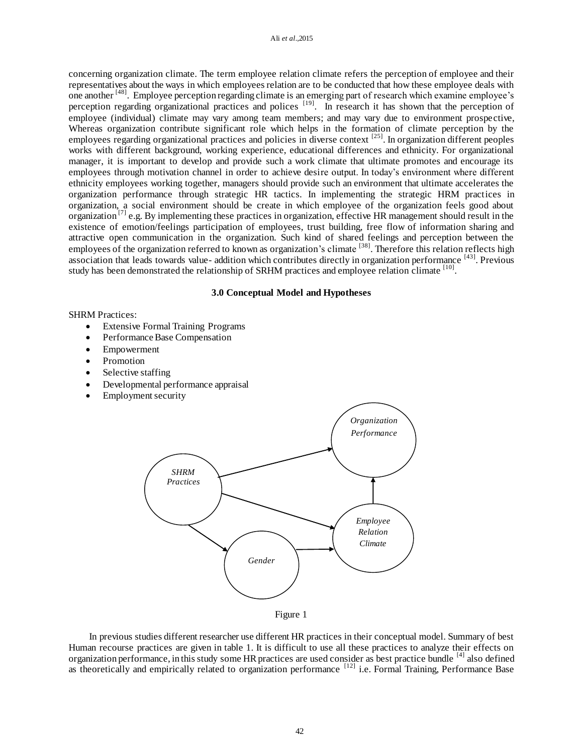concerning organization climate. The term employee relation climate refers the perception of employee and their representatives about the ways in which employees relation are to be conducted that how these employee deals with one another [48]. Employee perception regarding climate is an emerging part of research which examine employee's perception regarding organizational practices and polices <sup>[19]</sup>. In research it has shown that the perception of employee (individual) climate may vary among team members; and may vary due to environment prospective, Whereas organization contribute significant role which helps in the formation of climate perception by the employees regarding organizational practices and policies in diverse context  $^{[25]}$ . In organization different peoples works with different background, working experience, educational differences and ethnicity. For organizational manager, it is important to develop and provide such a work climate that ultimate promotes and encourage its employees through motivation channel in order to achieve desire output. In today's environment where different ethnicity employees working together, managers should provide such an environment that ultimate accelerates the organization performance through strategic HR tactics. In implementing the strategic HRM practices in organization, a social environment should be create in which employee of the organization feels good about organization  $\left[7\right]$  e.g. By implementing these practices in organization, effective HR management should result in the existence of emotion/feelings participation of employees, trust building, free flow of information sharing and attractive open communication in the organization. Such kind of shared feelings and perception between the employees of the organization referred to known as organization's climate <sup>[38]</sup>. Therefore this relation reflects high association that leads towards value- addition which contributes directly in organization performance  $^{[43]}$ . Previous study has been demonstrated the relationship of SRHM practices and employee relation climate  $^{[10]}$ .

### **3.0 Conceptual Model and Hypotheses**

### SHRM Practices:

- Extensive Formal Training Programs
- Performance Base Compensation
- Empowerment
- Promotion
- Selective staffing
- Developmental performance appraisal
- Employment security



Figure 1

In previous studies different researcher use different HR practices in their conceptual model. Summary of best Human recourse practices are given in table 1. It is difficult to use all these practices to analyze their effects on organization performance, in this study some HR practices are used consider as best practice bundle <sup>[4]</sup> also defined as theoretically and empirically related to organization performance <sup>[12]</sup> i.e. Formal Training, Performance Base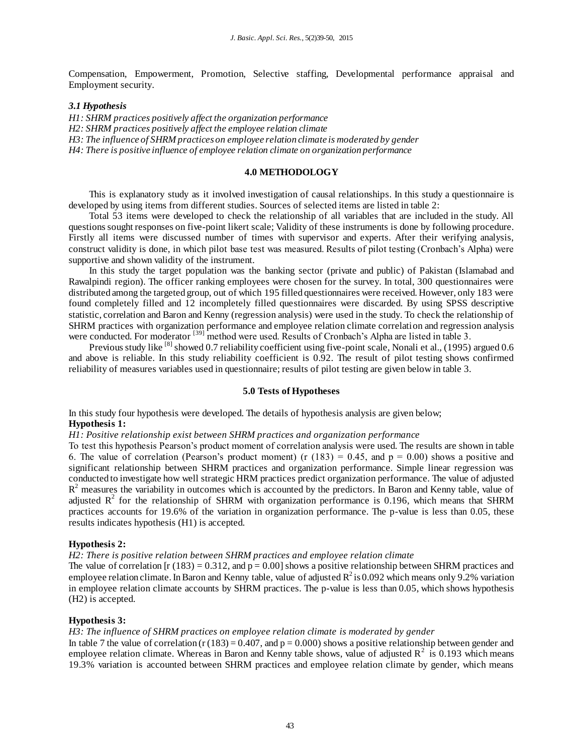Compensation, Empowerment, Promotion, Selective staffing, Developmental performance appraisal and Employment security.

### *3.1 Hypothesis*

*H1: SHRM practices positively affect the organization performance H2: SHRM practices positively affect the employee relation climate H3: The influence of SHRM practices on employee relation climate is moderated by gender H4: There is positive influence of employee relation climate on organization performance*

### **4.0 METHODOLOGY**

This is explanatory study as it involved investigation of causal relationships. In this study a questionnaire is developed by using items from different studies. Sources of selected items are listed in table 2:

Total 53 items were developed to check the relationship of all variables that are included in the study. All questions sought responses on five-point likert scale; Validity of these instruments is done by following procedure. Firstly all items were discussed number of times with supervisor and experts. After their verifying analysis, construct validity is done, in which pilot base test was measured. Results of pilot testing (Cronbach's Alpha) were supportive and shown validity of the instrument.

In this study the target population was the banking sector (private and public) of Pakistan (Islamabad and Rawalpindi region). The officer ranking employees were chosen for the survey. In total, 300 questionnaires were distributed among the targeted group, out of which 195 filled questionnaires were received. However, only 183 were found completely filled and 12 incompletely filled questionnaires were discarded. By using SPSS descriptive statistic, correlation and Baron and Kenny (regression analysis) were used in the study. To check the relationship of SHRM practices with organization performance and employee relation climate correlation and regression analysis were conducted. For moderator <sup>[39]</sup> method were used. Results of Cronbach's Alpha are listed in table 3.

Previous study like <sup>[8]</sup> showed 0.7 reliability coefficient using five-point scale, Nonali et al., (1995) argued 0.6 and above is reliable. In this study reliability coefficient is 0.92. The result of pilot testing shows confirmed reliability of measures variables used in questionnaire; results of pilot testing are given below in table 3.

### **5.0 Tests of Hypotheses**

In this study four hypothesis were developed. The details of hypothesis analysis are given below; **Hypothesis 1:**

### *H1: Positive relationship exist between SHRM practices and organization performance*

To test this hypothesis Pearson's product moment of correlation analysis were used. The results are shown in table 6. The value of correlation (Pearson's product moment) (r  $(183) = 0.45$ , and  $p = 0.00$ ) shows a positive and significant relationship between SHRM practices and organization performance. Simple linear regression was conducted to investigate how well strategic HRM practices predict organization performance. The value of adjusted R<sup>2</sup> measures the variability in outcomes which is accounted by the predictors. In Baron and Kenny table, value of adjusted  $R^2$  for the relationship of SHRM with organization performance is 0.196, which means that SHRM practices accounts for 19.6% of the variation in organization performance. The p-value is less than 0.05, these results indicates hypothesis (H1) is accepted.

#### **Hypothesis 2:**

### *H2: There is positive relation between SHRM practices and employee relation climate*

The value of correlation [r (183) = 0.312, and  $p = 0.00$ ] shows a positive relationship between SHRM practices and employee relation climate. In Baron and Kenny table, value of adjusted  $R^2$  is 0.092 which means only 9.2% variation in employee relation climate accounts by SHRM practices. The p-value is less than 0.05, which shows hypothesis (H2) is accepted.

#### **Hypothesis 3:**

#### *H3: The influence of SHRM practices on employee relation climate is moderated by gender*

In table 7 the value of correlation (r (183) =  $0.407$ , and p = 0.000) shows a positive relationship between gender and employee relation climate. Whereas in Baron and Kenny table shows, value of adjusted  $R^2$  is 0.193 which means 19.3% variation is accounted between SHRM practices and employee relation climate by gender, which means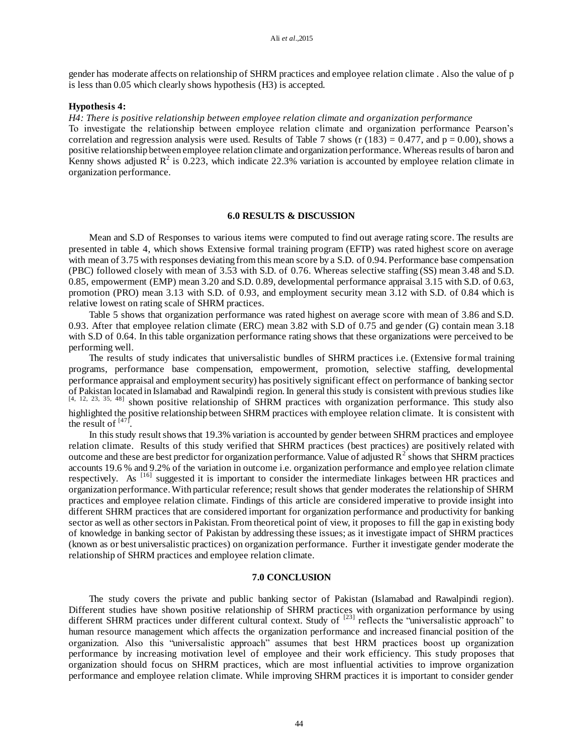gender has moderate affects on relationship of SHRM practices and employee relation climate . Also the value of p is less than 0.05 which clearly shows hypothesis (H3) is accepted.

#### **Hypothesis 4:**

*H4: There is positive relationship between employee relation climate and organization performance*

To investigate the relationship between employee relation climate and organization performance Pearson's correlation and regression analysis were used. Results of Table 7 shows (r  $(183) = 0.477$ , and  $p = 0.00$ ), shows a positive relationship between employee relation climate and organization performance. Whereas results of baron and Kenny shows adjusted  $R^2$  is 0.223, which indicate 22.3% variation is accounted by employee relation climate in organization performance.

#### **6.0 RESULTS & DISCUSSION**

Mean and S.D of Responses to various items were computed to find out average rating score. The results are presented in table 4, which shows Extensive formal training program (EFTP) was rated highest score on average with mean of 3.75 with responses deviating from this mean score by a S.D. of 0.94. Performance base compensation (PBC) followed closely with mean of 3.53 with S.D. of 0.76. Whereas selective staffing (SS) mean 3.48 and S.D. 0.85, empowerment (EMP) mean 3.20 and S.D. 0.89, developmental performance appraisal 3.15 with S.D. of 0.63, promotion (PRO) mean 3.13 with S.D. of 0.93, and employment security mean 3.12 with S.D. of 0.84 which is relative lowest on rating scale of SHRM practices.

Table 5 shows that organization performance was rated highest on average score with mean of 3.86 and S.D. 0.93. After that employee relation climate (ERC) mean 3.82 with S.D of 0.75 and gender (G) contain mean 3.18 with S.D of 0.64. In this table organization performance rating shows that these organizations were perceived to be performing well.

The results of study indicates that universalistic bundles of SHRM practices i.e. (Extensive formal training programs, performance base compensation, empowerment, promotion, selective staffing, developmental performance appraisal and employment security) has positively significant effect on performance of banking sector of Pakistan located in Islamabad and Rawalpindi region. In general this study is consistent with previous studies like [4, 12, 23, 35, 48] shown positive relationship of SHRM practices with organization performance. This study also highlighted the positive relationship between SHRM practices with employee relation climate. It is consistent with the result of  $^{[47]}$ .

In this study result shows that 19.3% variation is accounted by gender between SHRM practices and employee relation climate. Results of this study verified that SHRM practices (best practices) are positively related with outcome and these are best predictor for organization performance. Value of adjusted  $R^2$  shows that SHRM practices accounts 19.6 % and 9.2% of the variation in outcome i.e. organization performance and employee relation climate respectively. As [16] suggested it is important to consider the intermediate linkages between HR practices and organization performance. With particular reference; result shows that gender moderates the relationship of SHRM practices and employee relation climate. Findings of this article are considered imperative to provide insight into different SHRM practices that are considered important for organization performance and productivity for banking sector as well as other sectors in Pakistan. From theoretical point of view, it proposes to fill the gap in existing body of knowledge in banking sector of Pakistan by addressing these issues; as it investigate impact of SHRM practices (known as or best universalistic practices) on organization performance. Further it investigate gender moderate the relationship of SHRM practices and employee relation climate.

#### **7.0 CONCLUSION**

The study covers the private and public banking sector of Pakistan (Islamabad and Rawalpindi region). Different studies have shown positive relationship of SHRM practices with organization performance by using different SHRM practices under different cultural context. Study of <sup>[23]</sup> reflects the "universalistic approach" to human resource management which affects the organization performance and increased financial position of the organization. Also this "universalistic approach" assumes that best HRM practices boost up organization performance by increasing motivation level of employee and their work efficiency. This study proposes that organization should focus on SHRM practices, which are most influential activities to improve organization performance and employee relation climate. While improving SHRM practices it is important to consider gender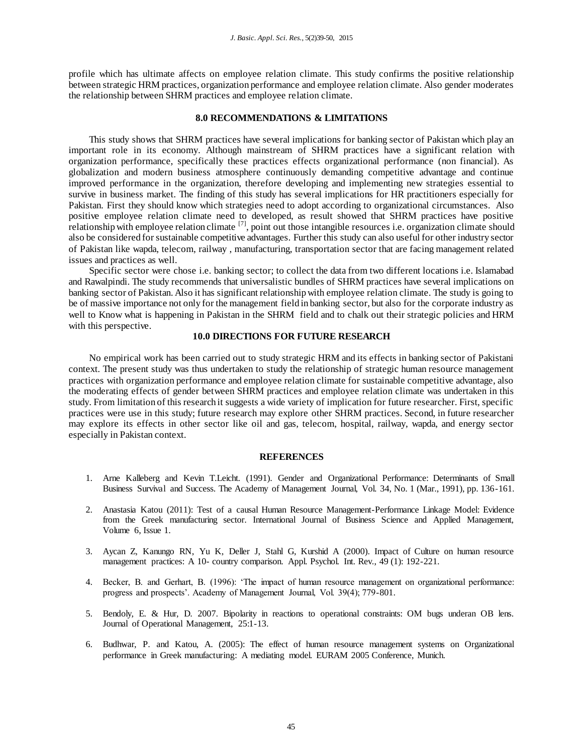profile which has ultimate affects on employee relation climate. This study confirms the positive relationship between strategic HRM practices, organization performance and employee relation climate. Also gender moderates the relationship between SHRM practices and employee relation climate.

### **8.0 RECOMMENDATIONS & LIMITATIONS**

This study shows that SHRM practices have several implications for banking sector of Pakistan which play an important role in its economy. Although mainstream of SHRM practices have a significant relation with organization performance, specifically these practices effects organizational performance (non financial). As globalization and modern business atmosphere continuously demanding competitive advantage and continue improved performance in the organization, therefore developing and implementing new strategies essential to survive in business market. The finding of this study has several implications for HR practitioners especially for Pakistan. First they should know which strategies need to adopt according to organizational circumstances. Also positive employee relation climate need to developed, as result showed that SHRM practices have positive relationship with employee relation climate <sup>[7]</sup>, point out those intangible resources i.e. organization climate should also be considered for sustainable competitive advantages. Further this study can also useful for other industry sector of Pakistan like wapda, telecom, railway , manufacturing, transportation sector that are facing management related issues and practices as well.

Specific sector were chose i.e. banking sector; to collect the data from two different locations i.e. Islamabad and Rawalpindi. The study recommends that universalistic bundles of SHRM practices have several implications on banking sector of Pakistan. Also it has significant relationship with employee relation climate. The study is going to be of massive importance not only for the management field in banking sector, but also for the corporate industry as well to Know what is happening in Pakistan in the SHRM field and to chalk out their strategic policies and HRM with this perspective.

### **10.0 DIRECTIONS FOR FUTURE RESEARCH**

No empirical work has been carried out to study strategic HRM and its effects in banking sector of Pakistani context. The present study was thus undertaken to study the relationship of strategic human resource management practices with organization performance and employee relation climate for sustainable competitive advantage, also the moderating effects of gender between SHRM practices and employee relation climate was undertaken in this study. From limitation of this research it suggests a wide variety of implication for future researcher. First, specific practices were use in this study; future research may explore other SHRM practices. Second, in future researcher may explore its effects in other sector like oil and gas, telecom, hospital, railway, wapda, and energy sector especially in Pakistan context.

#### **REFERENCES**

- 1. Arne Kalleberg and Kevin T.Leicht. (1991). Gender and Organizational Performance: Determinants of Small Business Survival and Success. The Academy of Management Journal, Vol. 34, No. 1 (Mar., 1991), pp. 136-161.
- 2. Anastasia Katou (2011): Test of a causal Human Resource Management-Performance Linkage Model: Evidence from the Greek manufacturing sector. International Journal of Business Science and Applied Management, Volume 6, Issue 1.
- 3. Aycan Z, Kanungo RN, Yu K, Deller J, Stahl G, Kurshid A (2000). Impact of Culture on human resource management practices: A 10- country comparison. Appl. Psychol. Int. Rev., 49 (1): 192-221.
- 4. Becker, B. and Gerhart, B. (1996): 'The impact of human resource management on organizational performance: progress and prospects'. Academy of Management Journal, Vol. 39(4); 779-801.
- 5. Bendoly, E. & Hur, D. 2007. Bipolarity in reactions to operational constraints: OM bugs underan OB lens. Journal of Operational Management, 25:1-13.
- 6. Budhwar, P. and Katou, A. (2005): The effect of human resource management systems on Organizational performance in Greek manufacturing: A mediating model. EURAM 2005 Conference, Munich.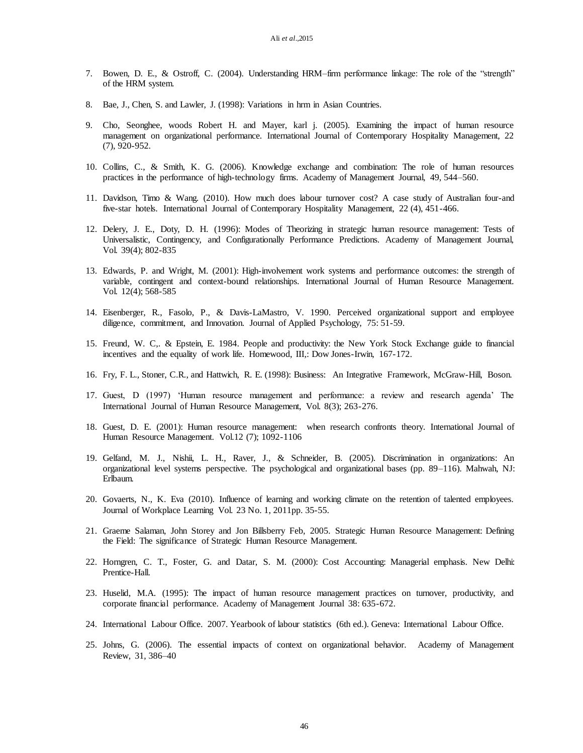- 7. Bowen, D. E., & Ostroff, C. (2004). Understanding HRM–firm performance linkage: The role of the "strength" of the HRM system.
- 8. Bae, J., Chen, S. and Lawler, J. (1998): Variations in hrm in Asian Countries.
- 9. Cho, Seonghee, woods Robert H. and Mayer, karl j. (2005). Examining the impact of human resource management on organizational performance. International Journal of Contemporary Hospitality Management, 22 (7), 920-952.
- 10. Collins, C., & Smith, K. G. (2006). Knowledge exchange and combination: The role of human resources practices in the performance of high-technology firms. Academy of Management Journal, 49, 544–560.
- 11. Davidson, Timo & Wang. (2010). How much does labour turnover cost? A case study of Australian four-and five-star hotels. International Journal of Contemporary Hospitality Management, 22 (4), 451-466.
- 12. Delery, J. E., Doty, D. H. (1996): Modes of Theorizing in strategic human resource management: Tests of Universalistic, Contingency, and Configurationally Performance Predictions. Academy of Management Journal, Vol. 39(4); 802-835
- 13. Edwards, P. and Wright, M. (2001): High-involvement work systems and performance outcomes: the strength of variable, contingent and context-bound relationships. International Journal of Human Resource Management. Vol. 12(4); 568-585
- 14. Eisenberger, R., Fasolo, P., & Davis-LaMastro, V. 1990. Perceived organizational support and employee diligence, commitment, and Innovation. Journal of Applied Psychology, 75: 51-59.
- 15. Freund, W. C,. & Epstein, E. 1984. People and productivity: the New York Stock Exchange guide to financial incentives and the equality of work life. Homewood, III,: Dow Jones-Irwin, 167-172.
- 16. Fry, F. L., Stoner, C.R., and Hattwich, R. E. (1998): Business: An Integrative Framework, McGraw-Hill, Boson.
- 17. Guest, D (1997) 'Human resource management and performance: a review and research agenda' The International Journal of Human Resource Management, Vol. 8(3); 263-276.
- 18. Guest, D. E. (2001): Human resource management: when research confronts theory. International Journal of Human Resource Management. Vol.12 (7); 1092-1106
- 19. Gelfand, M. J., Nishii, L. H., Raver, J., & Schneider, B. (2005). Discrimination in organizations: An organizational level systems perspective. The psychological and organizational bases (pp. 89–116). Mahwah, NJ: Erlbaum.
- 20. Govaerts, N., K. Eva (2010). Influence of learning and working climate on the retention of talented employees. Journal of Workplace Learning Vol. 23 No. 1, 2011pp. 35-55.
- 21. Graeme Salaman, John Storey and Jon Billsberry Feb, 2005. Strategic Human Resource Management: Defining the Field: The significance of Strategic Human Resource Management.
- 22. Horngren, C. T., Foster, G. and Datar, S. M. (2000): Cost Accounting: Managerial emphasis. New Delhi: Prentice-Hall.
- 23. Huselid, M.A. (1995): The impact of human resource management practices on turnover, productivity, and corporate financial performance. Academy of Management Journal 38: 635-672.
- 24. International Labour Office. 2007. Yearbook of labour statistics (6th ed.). Geneva: International Labour Office.
- 25. Johns, G. (2006). The essential impacts of context on organizational behavior. Academy of Management Review, 31, 386–40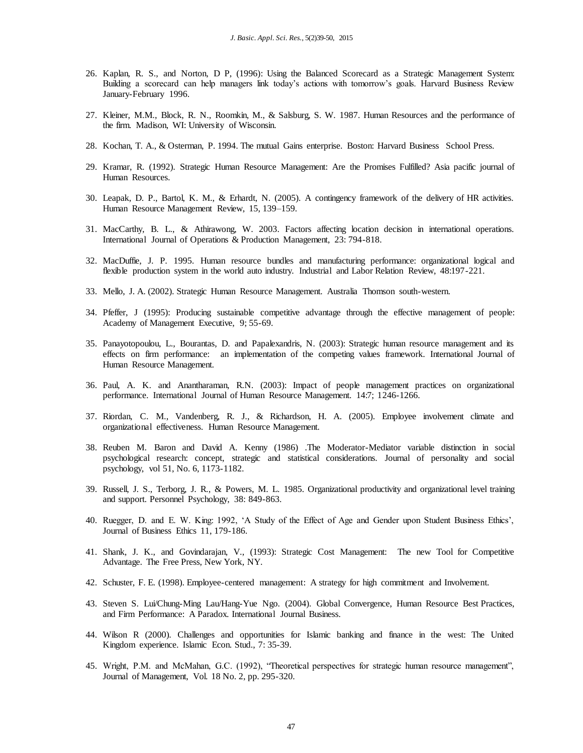- 26. Kaplan, R. S., and Norton, D P, (1996): Using the Balanced Scorecard as a Strategic Management System: Building a scorecard can help managers link today's actions with tomorrow's goals. Harvard Business Review January-February 1996.
- 27. Kleiner, M.M., Block, R. N., Roomkin, M., & Salsburg, S. W. 1987. Human Resources and the performance of the firm. Madison, WI: University of Wisconsin.
- 28. Kochan, T. A., & Osterman, P. 1994. The mutual Gains enterprise. Boston: Harvard Business School Press.
- 29. Kramar, R. (1992). Strategic Human Resource Management: Are the Promises Fulfilled? Asia pacific journal of Human Resources.
- 30. Leapak, D. P., Bartol, K. M., & Erhardt, N. (2005). A contingency framework of the delivery of HR activities. Human Resource Management Review, 15, 139–159.
- 31. MacCarthy, B. L., & Athirawong, W. 2003. Factors affecting location decision in international operations. International Journal of Operations & Production Management, 23: 794-818.
- 32. MacDuffie, J. P. 1995. Human resource bundles and manufacturing performance: organizational logical and flexible production system in the world auto industry. Industrial and Labor Relation Review, 48:197-221.
- 33. Mello, J. A. (2002). Strategic Human Resource Management. Australia Thomson south-western.
- 34. Pfeffer, J (1995): Producing sustainable competitive advantage through the effective management of people: Academy of Management Executive, 9; 55-69.
- 35. Panayotopoulou, L., Bourantas, D. and Papalexandris, N. (2003): Strategic human resource management and its effects on firm performance: an implementation of the competing values framework. International Journal of Human Resource Management.
- 36. Paul, A. K. and Anantharaman, R.N. (2003): Impact of people management practices on organizational performance. International Journal of Human Resource Management. 14:7; 1246-1266.
- 37. Riordan, C. M., Vandenberg, R. J., & Richardson, H. A. (2005). Employee involvement climate and organizational effectiveness. Human Resource Management.
- 38. Reuben M. Baron and David A. Kenny (1986) .The Moderator-Mediator variable distinction in social psychological research: concept, strategic and statistical considerations. Journal of personality and social psychology, vol 51, No. 6, 1173-1182.
- 39. Russell, J. S., Terborg, J. R., & Powers, M. L. 1985. Organizational productivity and organizational level training and support. Personnel Psychology, 38: 849-863.
- 40. Ruegger, D. and E. W. King: 1992, 'A Study of the Effect of Age and Gender upon Student Business Ethics', Journal of Business Ethics 11, 179-186.
- 41. Shank, J. K., and Govindarajan, V., (1993): Strategic Cost Management: The new Tool for Competitive Advantage. The Free Press, New York, NY.
- 42. Schuster, F. E. (1998). Employee-centered management: A strategy for high commitment and Involvement.
- 43. Steven S. Lui/Chung-Ming Lau/Hang-Yue Ngo. (2004). Global Convergence, Human Resource Best Practices, and Firm Performance: A Paradox. International Journal Business.
- 44. Wilson R (2000). Challenges and opportunities for Islamic banking and finance in the west: The United Kingdom experience. Islamic Econ. Stud., 7: 35-39.
- 45. Wright, P.M. and McMahan, G.C. (1992), "Theoretical perspectives for strategic human resource management", Journal of Management, Vol. 18 No. 2, pp. 295-320.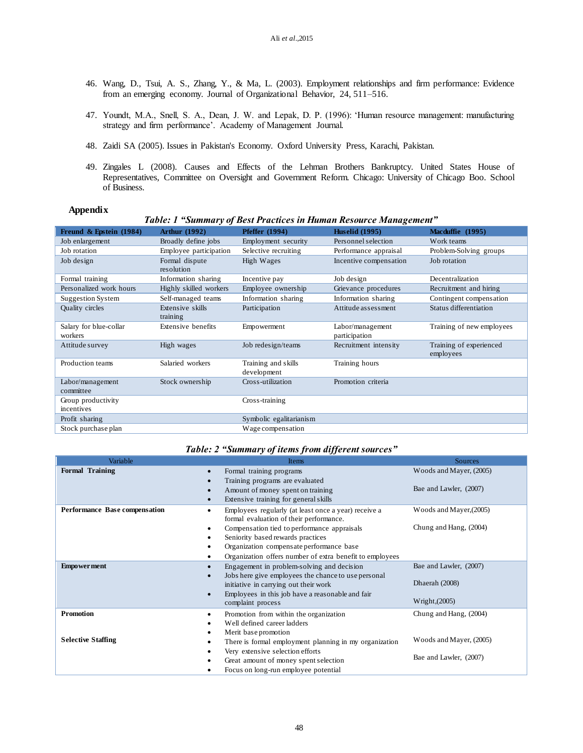- 46. Wang, D., Tsui, A. S., Zhang, Y., & Ma, L. (2003). Employment relationships and firm performance: Evidence from an emerging economy. Journal of Organizational Behavior, 24, 511–516.
- 47. Youndt, M.A., Snell, S. A., Dean, J. W. and Lepak, D. P. (1996): 'Human resource management: manufacturing strategy and firm performance'. Academy of Management Journal.
- 48. Zaidi SA (2005). Issues in Pakistan's Economy. Oxford University Press, Karachi, Pakistan.
- 49. Zingales L (2008). Causes and Effects of the Lehman Brothers Bankruptcy. United States House of Representatives, Committee on Oversight and Government Reform. Chicago: University of Chicago Boo. School of Business.

#### **Appendix**

#### *Table: 1 "Summary of Best Practices in Human Resource Management"* **Freund & Epstein (1984) Arthur (1992) Pfeffer (1994) Huselid (1995) Macduffie (1995)** Job enlargement Broadly define jobs Employment security Personnel selection Work teams Job rotation Employee participation Selective recruiting Performance appraisal Problem-Solving groups Job design Formal dispute resolution High Wages Incentive compensation Job rotation Formal training Information sharing Incentive pay Job design Decentralization Personalized work hours Highly skilled workers Employee ownership Grievance procedures Recruitment and hiring Suggestion System Self-managed teams Information sharing Information sharing Contingent compensation Quality circles Extensive skills training Participation Attitude assessment Status differentiation Salary for blue-collar workers Extensive benefits Empowerment Labor/management participation Training of new employees Attitude survey High wages Job redesign/teams Recruitment intensity Training of experienced employees Production teams Salaried workers Training and skills development Training hours Labor/management committee Stock ownership Cross-utilization Promotion criteria Group productivity incentives Cross-training Profit sharing Symbolic egalitarianism Stock purchase plan Wage compensation

### *Table: 2 "Summary of items from different sources"*

| Variable                      | <b>Items</b>                                              | <b>Sources</b>          |
|-------------------------------|-----------------------------------------------------------|-------------------------|
| <b>Formal Training</b>        | Formal training programs<br>$\bullet$                     | Woods and Mayer, (2005) |
|                               | Training programs are evaluated                           |                         |
|                               | Amount of money spent on training                         | Bae and Lawler, (2007)  |
|                               | Extensive training for general skills                     |                         |
| Performance Base compensation | Employees regularly (at least once a year) receive a<br>٠ | Woods and Mayer, (2005) |
|                               | formal evaluation of their performance.                   |                         |
|                               | Compensation tied to performance appraisals               | Chung and Hang, (2004)  |
|                               | Seniority based rewards practices                         |                         |
|                               | Organization compensate performance base                  |                         |
|                               | Organization offers number of extra benefit to employees  |                         |
| <b>Empowerment</b>            | Engagement in problem-solving and decision<br>$\bullet$   | Bae and Lawler, (2007)  |
|                               | Jobs here give employees the chance to use personal       |                         |
|                               | initiative in carrying out their work                     | Dhaerah (2008)          |
|                               | Employees in this job have a reasonable and fair          |                         |
|                               | complaint process                                         | Wright, $(2005)$        |
| <b>Promotion</b>              | Promotion from within the organization<br>٠               | Chung and Hang, (2004)  |
|                               | Well defined career ladders                               |                         |
|                               | Merit base promotion                                      |                         |
| <b>Selective Staffing</b>     | There is formal employment planning in my organization    | Woods and Mayer, (2005) |
|                               | Very extensive selection efforts                          |                         |
|                               | Great amount of money spent selection                     | Bae and Lawler, (2007)  |
|                               | Focus on long-run employee potential                      |                         |
|                               |                                                           |                         |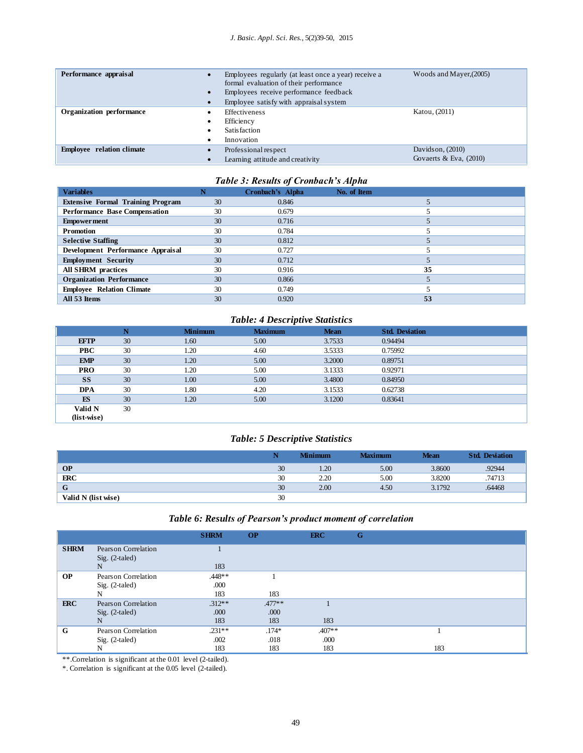| Performance appraisal            |   | Woods and Mayer, (2005)<br>Employees regularly (at least once a year) receive a<br>formal evaluation of their performance<br>Employees receive performance feedback<br>Employee satisfy with appraisal system |                                                |  |  |
|----------------------------------|---|---------------------------------------------------------------------------------------------------------------------------------------------------------------------------------------------------------------|------------------------------------------------|--|--|
| Organization performance         | ٠ | <b>Effectiveness</b><br>Efficiency<br>Satisfaction<br>Innovation                                                                                                                                              | Katou, (2011)                                  |  |  |
| <b>Employee</b> relation climate |   | Professional respect<br>Learning attitude and creativity                                                                                                                                                      | Davidson, $(2010)$<br>Govaerts & Eva. $(2010)$ |  |  |

### *Table 3: Results of Cronbach's Alpha*

| <b>Variables</b>                         |    | Cronbach's Alpha | No. of Item |
|------------------------------------------|----|------------------|-------------|
| <b>Extensive Formal Training Program</b> | 30 | 0.846            |             |
| <b>Performance Base Compensation</b>     | 30 | 0.679            |             |
| <b>Empowerment</b>                       | 30 | 0.716            |             |
| <b>Promotion</b>                         | 30 | 0.784            |             |
| <b>Selective Staffing</b>                | 30 | 0.812            |             |
| Development Performance Appraisal        | 30 | 0.727            |             |
| <b>Employment Security</b>               | 30 | 0.712            |             |
| <b>All SHRM</b> practices                | 30 | 0.916            | 35          |
| <b>Organization Performance</b>          | 30 | 0.866            |             |
| <b>Employee Relation Climate</b>         | 30 | 0.749            |             |
| All 53 Items                             | 30 | 0.920            | 53          |

### *Table: 4 Descriptive Statistics*

|             | N  | <b>Minimum</b> | <b>Maximum</b> | <b>Mean</b> | <b>Std. Deviation</b> |  |
|-------------|----|----------------|----------------|-------------|-----------------------|--|
| <b>EFTP</b> | 30 | 1.60           | 5.00           | 3.7533      | 0.94494               |  |
| <b>PBC</b>  | 30 | 1.20           | 4.60           | 3.5333      | 0.75992               |  |
| <b>EMP</b>  | 30 | 1.20           | 5.00           | 3.2000      | 0.89751               |  |
| <b>PRO</b>  | 30 | 1.20           | 5.00           | 3.1333      | 0.92971               |  |
| <b>SS</b>   | 30 | 1.00           | 5.00           | 3.4800      | 0.84950               |  |
| <b>DPA</b>  | 30 | 1.80           | 4.20           | 3.1533      | 0.62738               |  |
| ES          | 30 | 1.20           | 5.00           | 3.1200      | 0.83641               |  |
| Valid N     | 30 |                |                |             |                       |  |
| (list-wise) |    |                |                |             |                       |  |

### *Table: 5 Descriptive Statistics*

|                     |    | <b>Minimum</b> | <b>Maximum</b> | <b>Mean</b> | <b>Std. Deviation</b> |
|---------------------|----|----------------|----------------|-------------|-----------------------|
| <b>OP</b>           | 30 | 1.20           | 5.00           | 3.8600      | .92944                |
| ERC                 | 30 | 2.20           | 5.00           | 3.8200      | .74713                |
| G                   | 30 | 2.00           | 4.50           | 3.1792      | .64468                |
| Valid N (list wise) | 30 |                |                |             |                       |

### *Table 6: Results of Pearson's product moment of correlation*

|             |                     | <b>SHRM</b> | <b>OP</b> | ERC      | G   |
|-------------|---------------------|-------------|-----------|----------|-----|
| <b>SHRM</b> | Pearson Correlation |             |           |          |     |
|             | $Sig. (2-taled)$    |             |           |          |     |
|             | N                   | 183         |           |          |     |
| <b>OP</b>   | Pearson Correlation | .448**      |           |          |     |
|             | Sig. (2-taled)      | .000        |           |          |     |
|             | N                   | 183         | 183       |          |     |
| <b>ERC</b>  | Pearson Correlation | $.312**$    | $.477**$  |          |     |
|             | $Sig. (2-taled)$    | .000        | .000      |          |     |
|             | N                   | 183         | 183       | 183      |     |
| G           | Pearson Correlation | $.231**$    | $.174*$   | $.407**$ |     |
|             | $Sig. (2-taled)$    | .002        | .018      | .000     |     |
|             | N                   | 183         | 183       | 183      | 183 |

\*\*.Correlation is significant at the 0.01 level (2-tailed).

\*. Correlation is significant at the 0.05 level (2-tailed).